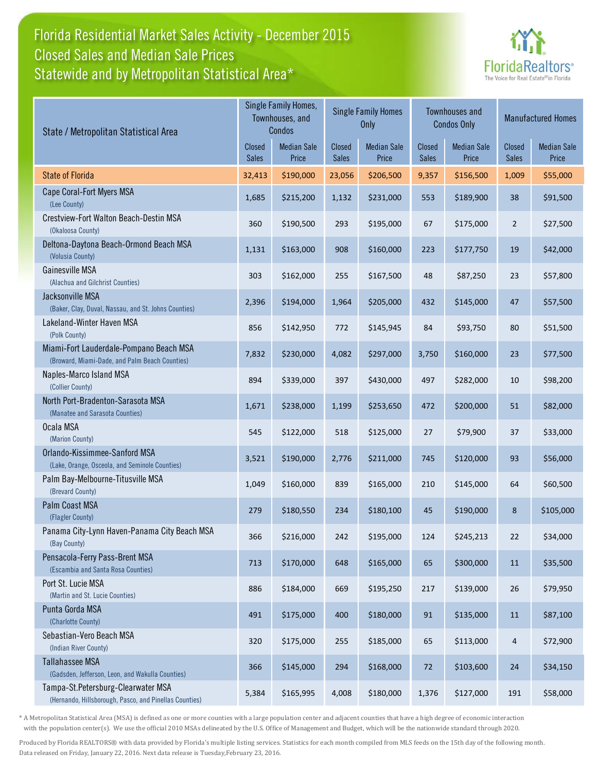## Florida Residential Market Sales Activity - December 2015 Statewide and by Metropolitan Statistical Area\* Closed Sales and Median Sale Prices



| State / Metropolitan Statistical Area                                                        | Single Family Homes,<br>Townhouses, and<br>Condos |                             | <b>Single Family Homes</b><br>Only |                             | <b>Townhouses and</b><br><b>Condos Only</b> |                             | <b>Manufactured Homes</b> |                             |
|----------------------------------------------------------------------------------------------|---------------------------------------------------|-----------------------------|------------------------------------|-----------------------------|---------------------------------------------|-----------------------------|---------------------------|-----------------------------|
|                                                                                              | <b>Closed</b><br><b>Sales</b>                     | <b>Median Sale</b><br>Price | <b>Closed</b><br><b>Sales</b>      | <b>Median Sale</b><br>Price | Closed<br><b>Sales</b>                      | <b>Median Sale</b><br>Price | Closed<br><b>Sales</b>    | <b>Median Sale</b><br>Price |
| <b>State of Florida</b>                                                                      | 32,413                                            | \$190,000                   | 23,056                             | \$206,500                   | 9,357                                       | \$156,500                   | 1,009                     | \$55,000                    |
| Cape Coral-Fort Myers MSA<br>(Lee County)                                                    | 1,685                                             | \$215,200                   | 1,132                              | \$231,000                   | 553                                         | \$189,900                   | 38                        | \$91,500                    |
| Crestview-Fort Walton Beach-Destin MSA<br>(Okaloosa County)                                  | 360                                               | \$190,500                   | 293                                | \$195,000                   | 67                                          | \$175,000                   | $\overline{2}$            | \$27,500                    |
| Deltona-Daytona Beach-Ormond Beach MSA<br>(Volusia County)                                   | 1,131                                             | \$163,000                   | 908                                | \$160,000                   | 223                                         | \$177,750                   | 19                        | \$42,000                    |
| Gainesville MSA<br>(Alachua and Gilchrist Counties)                                          | 303                                               | \$162,000                   | 255                                | \$167,500                   | 48                                          | \$87,250                    | 23                        | \$57,800                    |
| Jacksonville MSA<br>(Baker, Clay, Duval, Nassau, and St. Johns Counties)                     | 2,396                                             | \$194,000                   | 1,964                              | \$205,000                   | 432                                         | \$145,000                   | 47                        | \$57,500                    |
| Lakeland-Winter Haven MSA<br>(Polk County)                                                   | 856                                               | \$142,950                   | 772                                | \$145,945                   | 84                                          | \$93,750                    | 80                        | \$51,500                    |
| Miami-Fort Lauderdale-Pompano Beach MSA<br>(Broward, Miami-Dade, and Palm Beach Counties)    | 7,832                                             | \$230,000                   | 4,082                              | \$297,000                   | 3,750                                       | \$160,000                   | 23                        | \$77,500                    |
| Naples-Marco Island MSA<br>(Collier County)                                                  | 894                                               | \$339,000                   | 397                                | \$430,000                   | 497                                         | \$282,000                   | 10                        | \$98,200                    |
| North Port-Bradenton-Sarasota MSA<br>(Manatee and Sarasota Counties)                         | 1,671                                             | \$238,000                   | 1,199                              | \$253,650                   | 472                                         | \$200,000                   | 51                        | \$82,000                    |
| Ocala MSA<br>(Marion County)                                                                 | 545                                               | \$122,000                   | 518                                | \$125,000                   | 27                                          | \$79,900                    | 37                        | \$33,000                    |
| Orlando-Kissimmee-Sanford MSA<br>(Lake, Orange, Osceola, and Seminole Counties)              | 3,521                                             | \$190,000                   | 2,776                              | \$211,000                   | 745                                         | \$120,000                   | 93                        | \$56,000                    |
| Palm Bay-Melbourne-Titusville MSA<br>(Brevard County)                                        | 1,049                                             | \$160,000                   | 839                                | \$165,000                   | 210                                         | \$145,000                   | 64                        | \$60,500                    |
| Palm Coast MSA<br>(Flagler County)                                                           | 279                                               | \$180,550                   | 234                                | \$180,100                   | 45                                          | \$190,000                   | 8                         | \$105,000                   |
| Panama City-Lynn Haven-Panama City Beach MSA<br>(Bay County)                                 | 366                                               | \$216,000                   | 242                                | \$195,000                   | 124                                         | \$245,213                   | 22                        | \$34,000                    |
| Pensacola-Ferry Pass-Brent MSA<br>(Escambia and Santa Rosa Counties)                         | 713                                               | \$170,000                   | 648                                | \$165,000                   | 65                                          | \$300,000                   | $11\,$                    | \$35,500                    |
| Port St. Lucie MSA<br>(Martin and St. Lucie Counties)                                        | 886                                               | \$184,000                   | 669                                | \$195,250                   | 217                                         | \$139,000                   | 26                        | \$79,950                    |
| Punta Gorda MSA<br>(Charlotte County)                                                        | 491                                               | \$175,000                   | 400                                | \$180,000                   | 91                                          | \$135,000                   | $11\,$                    | \$87,100                    |
| Sebastian-Vero Beach MSA<br>(Indian River County)                                            | 320                                               | \$175,000                   | 255                                | \$185,000                   | 65                                          | \$113,000                   | 4                         | \$72,900                    |
| <b>Tallahassee MSA</b><br>(Gadsden, Jefferson, Leon, and Wakulla Counties)                   | 366                                               | \$145,000                   | 294                                | \$168,000                   | 72                                          | \$103,600                   | 24                        | \$34,150                    |
| Tampa-St.Petersburg-Clearwater MSA<br>(Hernando, Hillsborough, Pasco, and Pinellas Counties) | 5,384                                             | \$165,995                   | 4,008                              | \$180,000                   | 1,376                                       | \$127,000                   | 191                       | \$58,000                    |

\* A Metropolitan Statistical Area (MSA) is defined as one or more counties with a large population center and adjacent counties that have a high degree of economic interaction with the population center(s). We use the official 2010 MSAs delineated by the U.S. Office of Management and Budget, which will be the nationwide standard through 2020.

Produced by Florida REALTORS® with data provided by Florida's multiple listing services. Statistics for each month compiled from MLS feeds on the 15th day of the following month. Data released on Friday, January 22, 2016. Next data release is Tuesday,February 23, 2016.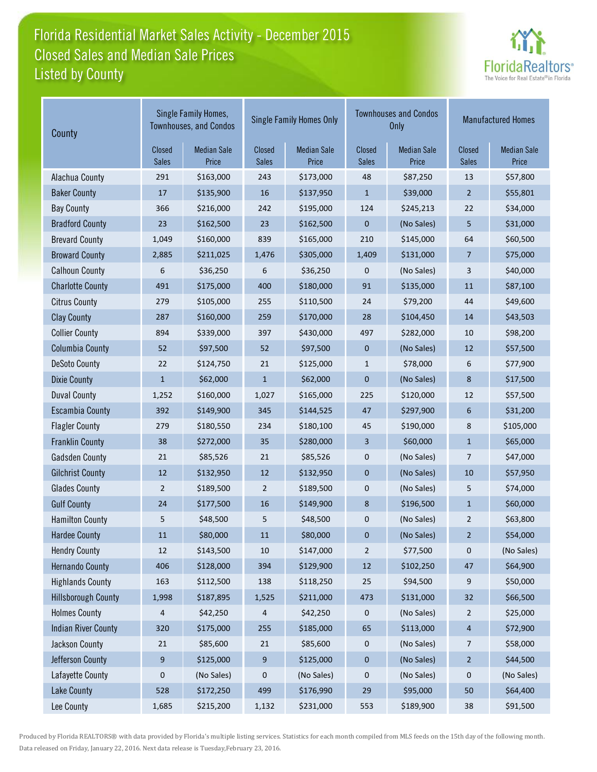## Florida Residential Market Sales Activity - December 2015 Listed by County Closed Sales and Median Sale Prices



| County                     | Single Family Homes,<br><b>Townhouses, and Condos</b> |                             |                        | <b>Single Family Homes Only</b> |                        | <b>Townhouses and Condos</b><br><b>Only</b> | <b>Manufactured Homes</b> |                             |
|----------------------------|-------------------------------------------------------|-----------------------------|------------------------|---------------------------------|------------------------|---------------------------------------------|---------------------------|-----------------------------|
|                            | <b>Closed</b><br><b>Sales</b>                         | <b>Median Sale</b><br>Price | Closed<br><b>Sales</b> | <b>Median Sale</b><br>Price     | Closed<br><b>Sales</b> | <b>Median Sale</b><br>Price                 | Closed<br><b>Sales</b>    | <b>Median Sale</b><br>Price |
| Alachua County             | 291                                                   | \$163,000                   | 243                    | \$173,000                       | 48                     | \$87,250                                    | 13                        | \$57,800                    |
| <b>Baker County</b>        | $17\,$                                                | \$135,900                   | 16                     | \$137,950                       | $\mathbf{1}$           | \$39,000                                    | $\overline{2}$            | \$55,801                    |
| <b>Bay County</b>          | 366                                                   | \$216,000                   | 242                    | \$195,000                       | 124                    | \$245,213                                   | 22                        | \$34,000                    |
| <b>Bradford County</b>     | 23                                                    | \$162,500                   | 23                     | \$162,500                       | $\mathbf{0}$           | (No Sales)                                  | 5                         | \$31,000                    |
| <b>Brevard County</b>      | 1,049                                                 | \$160,000                   | 839                    | \$165,000                       | 210                    | \$145,000                                   | 64                        | \$60,500                    |
| <b>Broward County</b>      | 2,885                                                 | \$211,025                   | 1,476                  | \$305,000                       | 1,409                  | \$131,000                                   | 7                         | \$75,000                    |
| <b>Calhoun County</b>      | 6                                                     | \$36,250                    | 6                      | \$36,250                        | 0                      | (No Sales)                                  | 3                         | \$40,000                    |
| <b>Charlotte County</b>    | 491                                                   | \$175,000                   | 400                    | \$180,000                       | 91                     | \$135,000                                   | 11                        | \$87,100                    |
| <b>Citrus County</b>       | 279                                                   | \$105,000                   | 255                    | \$110,500                       | 24                     | \$79,200                                    | 44                        | \$49,600                    |
| <b>Clay County</b>         | 287                                                   | \$160,000                   | 259                    | \$170,000                       | 28                     | \$104,450                                   | 14                        | \$43,503                    |
| <b>Collier County</b>      | 894                                                   | \$339,000                   | 397                    | \$430,000                       | 497                    | \$282,000                                   | 10                        | \$98,200                    |
| <b>Columbia County</b>     | 52                                                    | \$97,500                    | 52                     | \$97,500                        | $\mathbf{0}$           | (No Sales)                                  | 12                        | \$57,500                    |
| <b>DeSoto County</b>       | 22                                                    | \$124,750                   | 21                     | \$125,000                       | $\mathbf{1}$           | \$78,000                                    | 6                         | \$77,900                    |
| <b>Dixie County</b>        | $\mathbf{1}$                                          | \$62,000                    | $\mathbf{1}$           | \$62,000                        | $\mathbf{0}$           | (No Sales)                                  | 8                         | \$17,500                    |
| <b>Duval County</b>        | 1,252                                                 | \$160,000                   | 1,027                  | \$165,000                       | 225                    | \$120,000                                   | 12                        | \$57,500                    |
| <b>Escambia County</b>     | 392                                                   | \$149,900                   | 345                    | \$144,525                       | 47                     | \$297,900                                   | 6                         | \$31,200                    |
| <b>Flagler County</b>      | 279                                                   | \$180,550                   | 234                    | \$180,100                       | 45                     | \$190,000                                   | 8                         | \$105,000                   |
| <b>Franklin County</b>     | 38                                                    | \$272,000                   | 35                     | \$280,000                       | 3                      | \$60,000                                    | $\mathbf{1}$              | \$65,000                    |
| <b>Gadsden County</b>      | 21                                                    | \$85,526                    | 21                     | \$85,526                        | $\pmb{0}$              | (No Sales)                                  | 7                         | \$47,000                    |
| <b>Gilchrist County</b>    | 12                                                    | \$132,950                   | 12                     | \$132,950                       | $\pmb{0}$              | (No Sales)                                  | 10                        | \$57,950                    |
| <b>Glades County</b>       | 2                                                     | \$189,500                   | $\overline{2}$         | \$189,500                       | 0                      | (No Sales)                                  | 5                         | \$74,000                    |
| <b>Gulf County</b>         | 24                                                    | \$177,500                   | 16                     | \$149,900                       | 8                      | \$196,500                                   | $\mathbf{1}$              | \$60,000                    |
| <b>Hamilton County</b>     | 5                                                     | \$48,500                    | 5                      | \$48,500                        | $\pmb{0}$              | (No Sales)                                  | $\overline{2}$            | \$63,800                    |
| <b>Hardee County</b>       | 11                                                    | \$80,000                    | 11                     | \$80,000                        | 0                      | (No Sales)                                  | 2                         | \$54,000                    |
| <b>Hendry County</b>       | $12\,$                                                | \$143,500                   | 10                     | \$147,000                       | $\overline{2}$         | \$77,500                                    | 0                         | (No Sales)                  |
| <b>Hernando County</b>     | 406                                                   | \$128,000                   | 394                    | \$129,900                       | 12                     | \$102,250                                   | $47\,$                    | \$64,900                    |
| <b>Highlands County</b>    | 163                                                   | \$112,500                   | 138                    | \$118,250                       | 25                     | \$94,500                                    | 9                         | \$50,000                    |
| <b>Hillsborough County</b> | 1,998                                                 | \$187,895                   | 1,525                  | \$211,000                       | 473                    | \$131,000                                   | 32                        | \$66,500                    |
| <b>Holmes County</b>       | 4                                                     | \$42,250                    | 4                      | \$42,250                        | 0                      | (No Sales)                                  | $\overline{2}$            | \$25,000                    |
| <b>Indian River County</b> | 320                                                   | \$175,000                   | 255                    | \$185,000                       | 65                     | \$113,000                                   | 4                         | \$72,900                    |
| Jackson County             | 21                                                    | \$85,600                    | $21\,$                 | \$85,600                        | 0                      | (No Sales)                                  | 7                         | \$58,000                    |
| Jefferson County           | 9                                                     | \$125,000                   | 9                      | \$125,000                       | $\bf{0}$               | (No Sales)                                  | $\overline{a}$            | \$44,500                    |
| Lafayette County           | 0                                                     | (No Sales)                  | $\mathbf 0$            | (No Sales)                      | 0                      | (No Sales)                                  | 0                         | (No Sales)                  |
| Lake County                | 528                                                   | \$172,250                   | 499                    | \$176,990                       | 29                     | \$95,000                                    | 50                        | \$64,400                    |
| Lee County                 | 1,685                                                 | \$215,200                   | 1,132                  | \$231,000                       | 553                    | \$189,900                                   | $38\,$                    | \$91,500                    |

Produced by Florida REALTORS® with data provided by Florida's multiple listing services. Statistics for each month compiled from MLS feeds on the 15th day of the following month. Data released on Friday, January 22, 2016. Next data release is Tuesday,February 23, 2016.